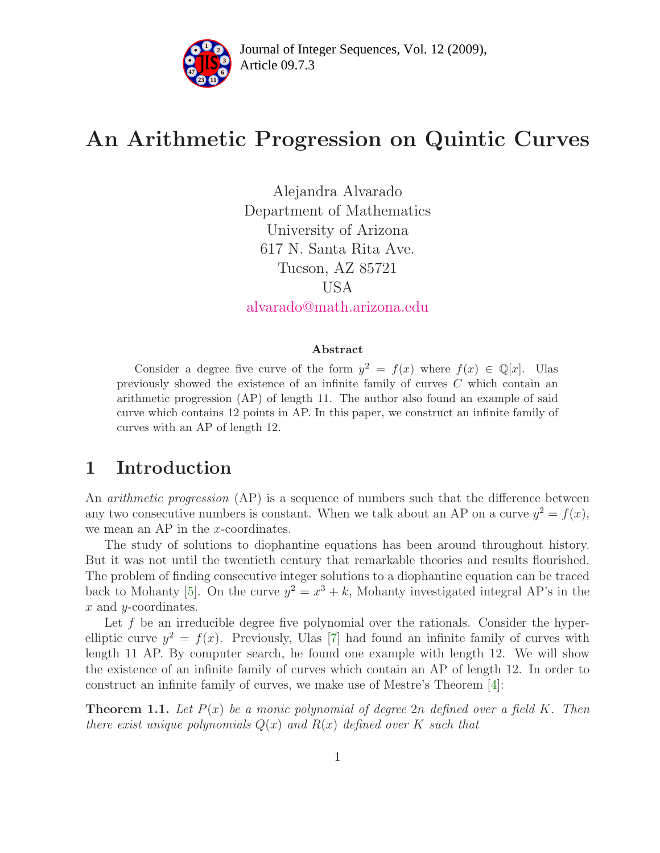

# An Arithmetic Progression on Quintic Curves

Alejandra Alvarado Department of Mathematics University of Arizona 617 N. Santa Rita Ave. Tucson, AZ 85721 USA [alvarado@math.arizona.edu](mailto:alvarado@math.arizona.edu)

#### Abstract

Consider a degree five curve of the form  $y^2 = f(x)$  where  $f(x) \in \mathbb{Q}[x]$ . Ulas previously showed the existence of an infinite family of curves C which contain an arithmetic progression (AP) of length 11. The author also found an example of said curve which contains 12 points in AP. In this paper, we construct an infinite family of curves with an AP of length 12.

### 1 Introduction

An *arithmetic progression* (AP) is a sequence of numbers such that the difference between any two consecutive numbers is constant. When we talk about an AP on a curve  $y^2 = f(x)$ , we mean an AP in the  $x$ -coordinates.

The study of solutions to diophantine equations has been around throughout history. But it was not until the twentieth century that remarkable theories and results flourished. The problem of finding consecutive integer solutions to a diophantine equation can be traced back to Mohanty [\[5\]](#page-4-0). On the curve  $y^2 = x^3 + k$ , Mohanty investigated integral AP's in the x and y-coordinates.

Let  $f$  be an irreducible degree five polynomial over the rationals. Consider the hyperelliptic curve  $y^2 = f(x)$ . Previously, Ulas [\[7\]](#page-4-1) had found an infinite family of curves with length 11 AP. By computer search, he found one example with length 12. We will show the existence of an infinite family of curves which contain an AP of length 12. In order to construct an infinite family of curves, we make use of Mestre's Theorem [\[4\]](#page-4-2):

**Theorem 1.1.** Let  $P(x)$  be a monic polynomial of degree 2n defined over a field K. Then there exist unique polynomials  $Q(x)$  and  $R(x)$  defined over K such that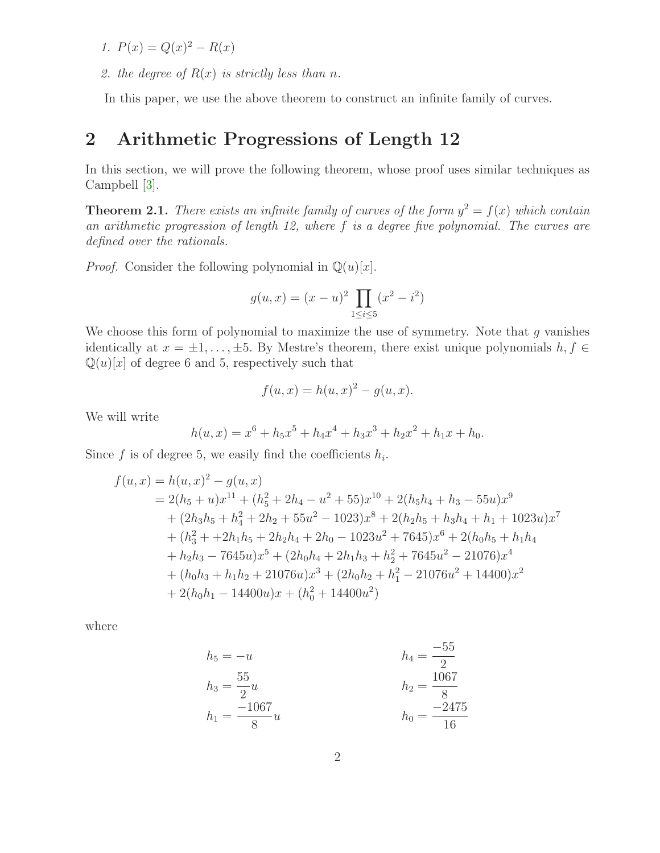- 1.  $P(x) = Q(x)^2 R(x)$
- 2. the degree of  $R(x)$  is strictly less than n.

In this paper, we use the above theorem to construct an infinite family of curves.

### 2 Arithmetic Progressions of Length 12

In this section, we will prove the following theorem, whose proof uses similar techniques as Campbell [\[3\]](#page-4-3).

**Theorem 2.1.** There exists an infinite family of curves of the form  $y^2 = f(x)$  which contain an arithmetic progression of length 12, where f is a degree five polynomial. The curves are defined over the rationals.

*Proof.* Consider the following polynomial in  $\mathbb{Q}(u)[x]$ .

$$
g(u, x) = (x - u)^2 \prod_{1 \le i \le 5} (x^2 - i^2)
$$

We choose this form of polynomial to maximize the use of symmetry. Note that  $g$  vanishes identically at  $x = \pm 1, \ldots, \pm 5$ . By Mestre's theorem, there exist unique polynomials  $h, f \in$  $\mathbb{Q}(u)[x]$  of degree 6 and 5, respectively such that

$$
f(u,x) = h(u,x)^2 - g(u,x).
$$

We will write

$$
h(u, x) = x^6 + h_5 x^5 + h_4 x^4 + h_3 x^3 + h_2 x^2 + h_1 x + h_0.
$$

Since f is of degree 5, we easily find the coefficients  $h_i$ .

$$
f(u, x) = h(u, x)^2 - g(u, x)
$$
  
= 2(h<sub>5</sub> + u)x<sup>11</sup> + (h<sub>5</sub><sup>2</sup> + 2h<sub>4</sub> - u<sup>2</sup> + 55)x<sup>10</sup> + 2(h<sub>5</sub>h<sub>4</sub> + h<sub>3</sub> - 55u)x<sup>9</sup>  
+ (2h<sub>3</sub>h<sub>5</sub> + h<sub>4</sub><sup>2</sup> + 2h<sub>2</sub> + 55u<sup>2</sup> - 1023)x<sup>8</sup> + 2(h<sub>2</sub>h<sub>5</sub> + h<sub>3</sub>h<sub>4</sub> + h<sub>1</sub> + 1023u)x<sup>7</sup>  
+ (h<sub>3</sub><sup>2</sup> + +2h<sub>1</sub>h<sub>5</sub> + 2h<sub>2</sub>h<sub>4</sub> + 2h<sub>0</sub> - 1023u<sup>2</sup> + 7645)x<sup>6</sup> + 2(h<sub>0</sub>h<sub>5</sub> + h<sub>1</sub>h<sub>4</sub>  
+ h<sub>2</sub>h<sub>3</sub> - 7645u)x<sup>5</sup> + (2h<sub>0</sub>h<sub>4</sub> + 2h<sub>1</sub>h<sub>3</sub> + h<sub>2</sub><sup>2</sup> + 7645u<sup>2</sup> - 21076)x<sup>4</sup>  
+ (h<sub>0</sub>h<sub>3</sub> + h<sub>1</sub>h<sub>2</sub> + 21076u)x<sup>3</sup> + (2h<sub>0</sub>h<sub>2</sub> + h<sub>1</sub><sup>2</sup> - 21076u<sup>2</sup> + 14400)x<sup>2</sup>  
+ 2(h<sub>0</sub>h<sub>1</sub> - 14400u)x + (h<sub>0</sub><sup>2</sup> + 14400u<sup>2</sup>)

where

$$
h_5 = -u
$$
  
\n
$$
h_3 = \frac{55}{2}u
$$
  
\n
$$
h_1 = \frac{-1067}{8}u
$$
  
\n
$$
h_2 = \frac{1067}{8}
$$
  
\n
$$
h_0 = \frac{-2475}{16}
$$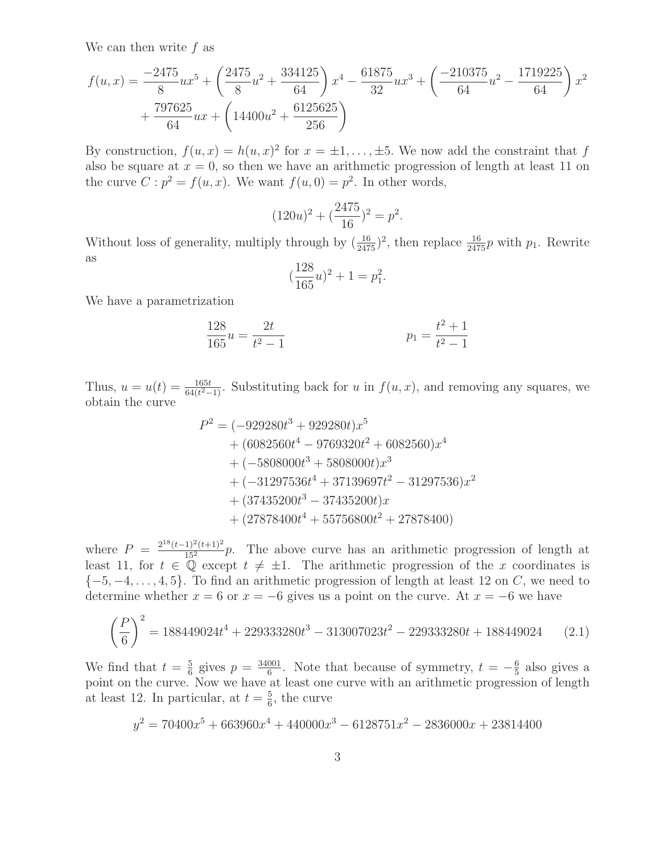We can then write  $f$  as

$$
f(u,x) = \frac{-2475}{8}ux^5 + \left(\frac{2475}{8}u^2 + \frac{334125}{64}\right)x^4 - \frac{61875}{32}ux^3 + \left(\frac{-210375}{64}u^2 - \frac{1719225}{64}\right)x^2 + \frac{797625}{64}ux + \left(14400u^2 + \frac{6125625}{256}\right)
$$

By construction,  $f(u, x) = h(u, x)^2$  for  $x = \pm 1, \ldots, \pm 5$ . We now add the constraint that f also be square at  $x = 0$ , so then we have an arithmetic progression of length at least 11 on the curve  $C: p^2 = f(u, x)$ . We want  $f(u, 0) = p^2$ . In other words,

$$
(120u)^2 + \left(\frac{2475}{16}\right)^2 = p^2.
$$

Without loss of generality, multiply through by  $(\frac{16}{2475})^2$ , then replace  $\frac{16}{2475}p$  with  $p_1$ . Rewrite as

$$
(\frac{128}{165}u)^2 + 1 = p_1^2
$$

.

We have a parametrization

$$
\frac{128}{165}u = \frac{2t}{t^2 - 1}
$$
 
$$
p_1 = \frac{t^2 + 1}{t^2 - 1}
$$

Thus,  $u = u(t) = \frac{165t}{64(t^2-1)}$ . Substituting back for u in  $f(u, x)$ , and removing any squares, we obtain the curve

$$
P2 = (-929280t3 + 929280t)x5
$$
  
+ (6082560t<sup>4</sup> - 9769320t<sup>2</sup> + 6082560)x<sup>4</sup>  
+ (-5808000t<sup>3</sup> + 5808000t)x<sup>3</sup>  
+ (-31297536t<sup>4</sup> + 37139697t<sup>2</sup> - 31297536)x<sup>2</sup>  
+ (37435200t<sup>3</sup> - 37435200t)x  
+ (27878400t<sup>4</sup> + 55756800t<sup>2</sup> + 27878400)

where  $P = \frac{2^{18}(t-1)^2(t+1)^2}{15^2}p$ . The above curve has an arithmetic progression of length at least 11, for  $t \in \mathbb{Q}$  except  $t \neq \pm 1$ . The arithmetic progression of the x coordinates is  $\{-5, -4, \ldots, 4, 5\}$ . To find an arithmetic progression of length at least 12 on C, we need to determine whether  $x = 6$  or  $x = -6$  gives us a point on the curve. At  $x = -6$  we have

$$
\left(\frac{P}{6}\right)^2 = 188449024t^4 + 229333280t^3 - 313007023t^2 - 229333280t + 188449024 \tag{2.1}
$$

<span id="page-2-0"></span>We find that  $t = \frac{5}{6}$  $\frac{5}{6}$  gives  $p = \frac{34001}{6}$  $\frac{601}{6}$ . Note that because of symmetry,  $t = -\frac{6}{5}$  $\frac{6}{5}$  also gives a point on the curve. Now we have at least one curve with an arithmetic progression of length at least 12. In particular, at  $t=\frac{5}{6}$  $\frac{5}{6}$ , the curve

$$
y^2 = 70400x^5 + 663960x^4 + 440000x^3 - 6128751x^2 - 2836000x + 23814400
$$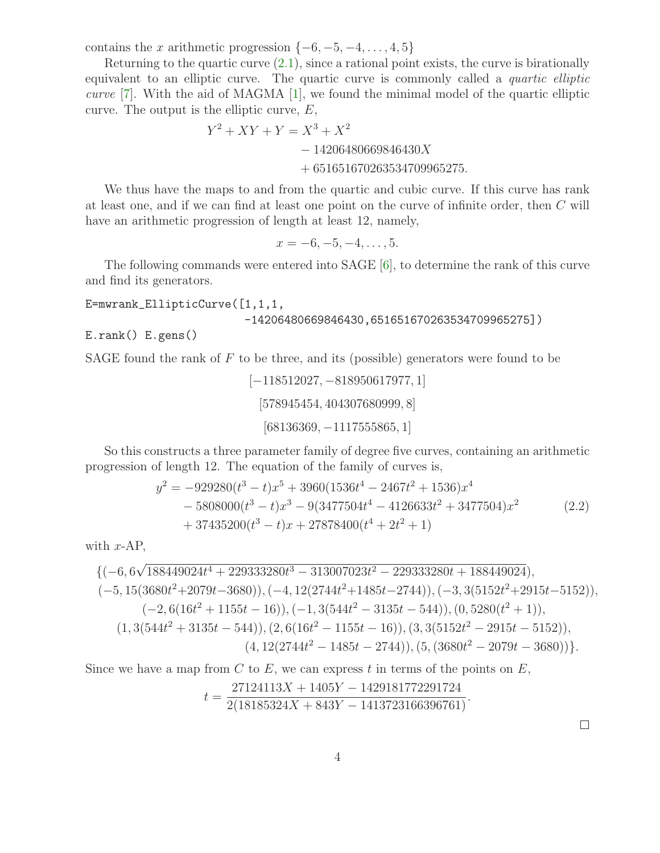contains the x arithmetic progression  $\{-6, -5, -4, \ldots, 4, 5\}$ 

Returning to the quartic curve  $(2.1)$ , since a rational point exists, the curve is birationally equivalent to an elliptic curve. The quartic curve is commonly called a *quartic elliptic* curve [\[7\]](#page-4-1). With the aid of MAGMA [\[1\]](#page-4-4), we found the minimal model of the quartic elliptic curve. The output is the elliptic curve,  $E$ ,

$$
Y^2 + XY + Y = X^3 + X^2
$$
  
- 14206480669846430X  
+ 651651670263534709965275.

We thus have the maps to and from the quartic and cubic curve. If this curve has rank at least one, and if we can find at least one point on the curve of infinite order, then C will have an arithmetic progression of length at least 12, namely,

 $x = -6, -5, -4, \ldots, 5.$ 

The following commands were entered into SAGE [\[6\]](#page-4-5), to determine the rank of this curve and find its generators.

#### E=mwrank\_EllipticCurve([1,1,1,

```
-14206480669846430,651651670263534709965275])
```
E.rank() E.gens()

SAGE found the rank of  $F$  to be three, and its (possible) generators were found to be

[−118512027, −818950617977, 1] [578945454, 404307680999, 8] [68136369, −1117555865, 1]

<span id="page-3-0"></span>So this constructs a three parameter family of degree five curves, containing an arithmetic progression of length 12. The equation of the family of curves is,

$$
y^{2} = -929280(t^{3} - t)x^{5} + 3960(1536t^{4} - 2467t^{2} + 1536)x^{4}
$$
  
- 5808000(t<sup>3</sup> - t)x<sup>3</sup> - 9(3477504t<sup>4</sup> - 4126633t<sup>2</sup> + 3477504)x<sup>2</sup> (2.2)  
+ 37435200(t<sup>3</sup> - t)x + 27878400(t<sup>4</sup> + 2t<sup>2</sup> + 1)

with 
$$
x
$$
-AP,

$$
\{(-6, 6\sqrt{188449024t^4 + 229333280t^3 - 313007023t^2 - 229333280t + 188449024}), (-5, 15(3680t^2 + 2079t - 3680)), (-4, 12(2744t^2 + 1485t - 2744)), (-3, 3(5152t^2 + 2915t - 5152)), (-2, 6(16t^2 + 1155t - 16)), (-1, 3(544t^2 - 3135t - 544)), (0, 5280(t^2 + 1)), (1, 3(544t^2 + 3135t - 544)), (2, 6(16t^2 - 1155t - 16)), (3, 3(5152t^2 - 2915t - 5152)), (4, 12(2744t^2 - 1485t - 2744)), (5, (3680t^2 - 2079t - 3680))\}.
$$

Since we have a map from  $C$  to  $E$ , we can express  $t$  in terms of the points on  $E$ ,  $t = \frac{27124113X + 1405Y - 1429181772291724}{2(19185294X + 849X - 1412792166296764)}$  $\frac{2(18185324X + 843Y - 1413723166396761)}{2(18185324X + 843Y - 1413723166396761)}$ 

 $\Box$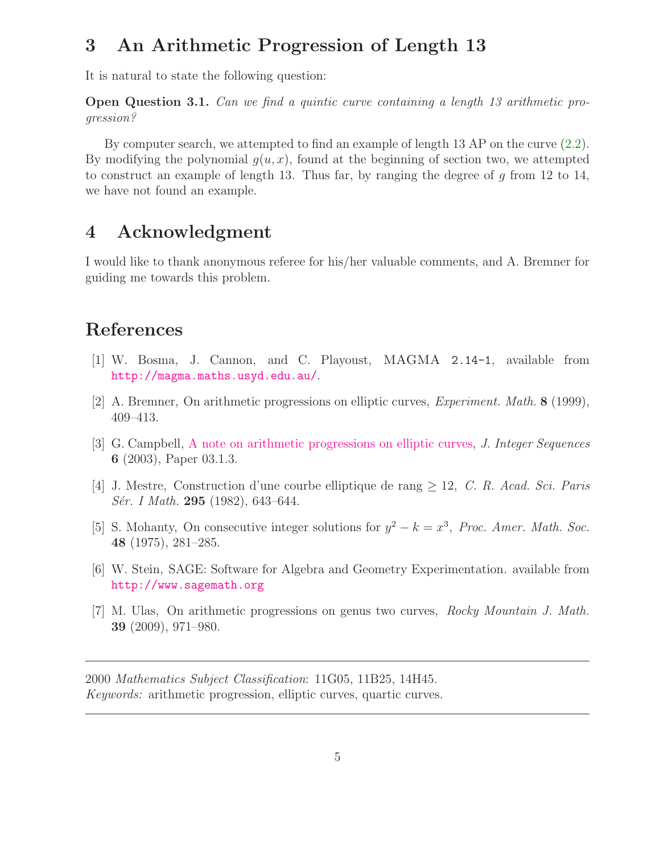### 3 An Arithmetic Progression of Length 13

It is natural to state the following question:

Open Question 3.1. Can we find a quintic curve containing a length 13 arithmetic progression?

By computer search, we attempted to find an example of length 13 AP on the curve [\(2.2\)](#page-3-0). By modifying the polynomial  $g(u, x)$ , found at the beginning of section two, we attempted to construct an example of length 13. Thus far, by ranging the degree of  $g$  from 12 to 14, we have not found an example.

### 4 Acknowledgment

I would like to thank anonymous referee for his/her valuable comments, and A. Bremner for guiding me towards this problem.

## <span id="page-4-4"></span>References

- [1] W. Bosma, J. Cannon, and C. Playoust, MAGMA 2.14-1, available from <http://magma.maths.usyd.edu.au/>.
- <span id="page-4-3"></span>[2] A. Bremner, On arithmetic progressions on elliptic curves, Experiment. Math. 8 (1999), 409–413.
- [3] G. Campbell, [A note on arithmetic progressions on elliptic curves,](http://www.cs.uwaterloo.ca/journals/JIS/VOL6/Campbell/campbell4.html) J. Integer Sequences 6 (2003), Paper 03.1.3.
- <span id="page-4-2"></span><span id="page-4-0"></span>[4] J. Mestre, Construction d'une courbe elliptique de rang  $\geq$  12, C. R. Acad. Sci. Paris Sér. I Math. 295 (1982), 643-644.
- [5] S. Mohanty, On consecutive integer solutions for  $y^2 k = x^3$ , Proc. Amer. Math. Soc. 48 (1975), 281–285.
- <span id="page-4-5"></span>[6] W. Stein, SAGE: Software for Algebra and Geometry Experimentation. available from <http://www.sagemath.org>
- <span id="page-4-1"></span>[7] M. Ulas, On arithmetic progressions on genus two curves, Rocky Mountain J. Math. 39 (2009), 971–980.

2000 Mathematics Subject Classification: 11G05, 11B25, 14H45. Keywords: arithmetic progression, elliptic curves, quartic curves.